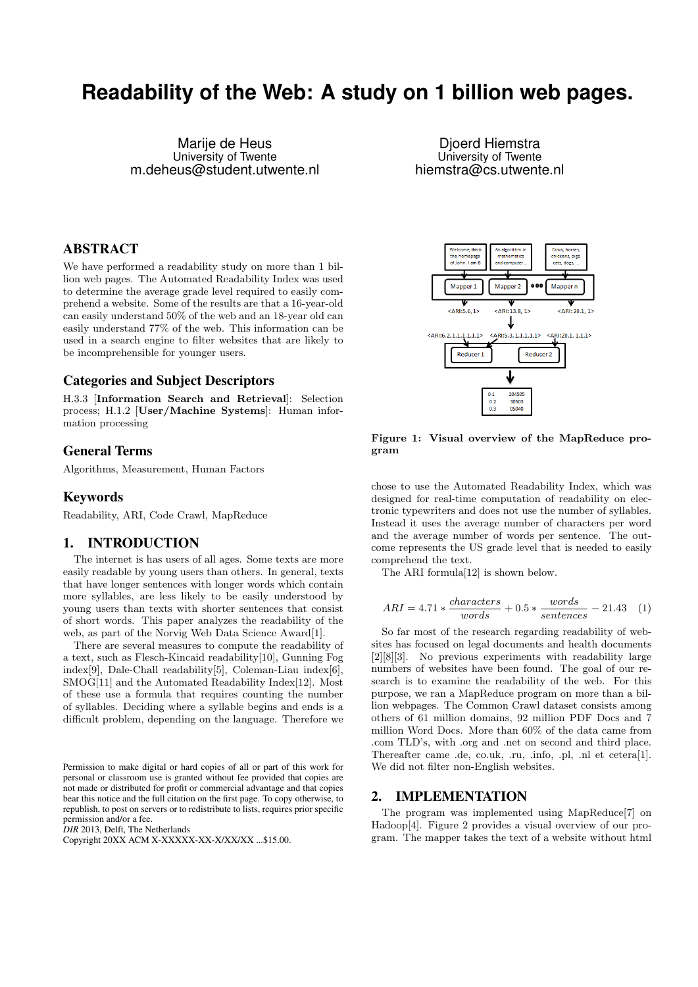# **Readability of the Web: A study on 1 billion web pages.**

Marije de Heus University of Twente m.deheus@student.utwente.nl

# ABSTRACT

We have performed a readability study on more than 1 billion web pages. The Automated Readability Index was used to determine the average grade level required to easily comprehend a website. Some of the results are that a 16-year-old can easily understand 50% of the web and an 18-year old can easily understand 77% of the web. This information can be used in a search engine to filter websites that are likely to be incomprehensible for younger users.

## Categories and Subject Descriptors

H.3.3 [Information Search and Retrieval]: Selection process; H.1.2 [User/Machine Systems]: Human information processing

## General Terms

Algorithms, Measurement, Human Factors

## Keywords

Readability, ARI, Code Crawl, MapReduce

## 1. INTRODUCTION

The internet is has users of all ages. Some texts are more easily readable by young users than others. In general, texts that have longer sentences with longer words which contain more syllables, are less likely to be easily understood by young users than texts with shorter sentences that consist of short words. This paper analyzes the readability of the web, as part of the Norvig Web Data Science Award[1].

There are several measures to compute the readability of a text, such as Flesch-Kincaid readability[10], Gunning Fog index[9], Dale-Chall readability[5], Coleman-Liau index[6], SMOG[11] and the Automated Readability Index[12]. Most of these use a formula that requires counting the number of syllables. Deciding where a syllable begins and ends is a difficult problem, depending on the language. Therefore we

Permission to make digital or hard copies of all or part of this work for personal or classroom use is granted without fee provided that copies are not made or distributed for profit or commercial advantage and that copies bear this notice and the full citation on the first page. To copy otherwise, to republish, to post on servers or to redistribute to lists, requires prior specific permission and/or a fee.

*DIR* 2013, Delft, The Netherlands

Copyright 20XX ACM X-XXXXX-XX-X/XX/XX ...\$15.00.

Djoerd Hiemstra University of Twente hiemstra@cs.utwente.nl



Figure 1: Visual overview of the MapReduce program

chose to use the Automated Readability Index, which was designed for real-time computation of readability on electronic typewriters and does not use the number of syllables. Instead it uses the average number of characters per word and the average number of words per sentence. The outcome represents the US grade level that is needed to easily comprehend the text.

The ARI formula[12] is shown below.

$$
ARI = 4.71 * \frac{characters}{words} + 0.5 * \frac{words}{sentences} - 21.43 \quad (1)
$$

So far most of the research regarding readability of websites has focused on legal documents and health documents [2][8][3]. No previous experiments with readability large numbers of websites have been found. The goal of our research is to examine the readability of the web. For this purpose, we ran a MapReduce program on more than a billion webpages. The Common Crawl dataset consists among others of 61 million domains, 92 million PDF Docs and 7 million Word Docs. More than 60% of the data came from .com TLD's, with .org and .net on second and third place. Thereafter came .de, co.uk, .ru, .info, .pl, .nl et cetera[1]. We did not filter non-English websites.

## 2. IMPLEMENTATION

The program was implemented using MapReduce[7] on Hadoop[4]. Figure 2 provides a visual overview of our program. The mapper takes the text of a website without html